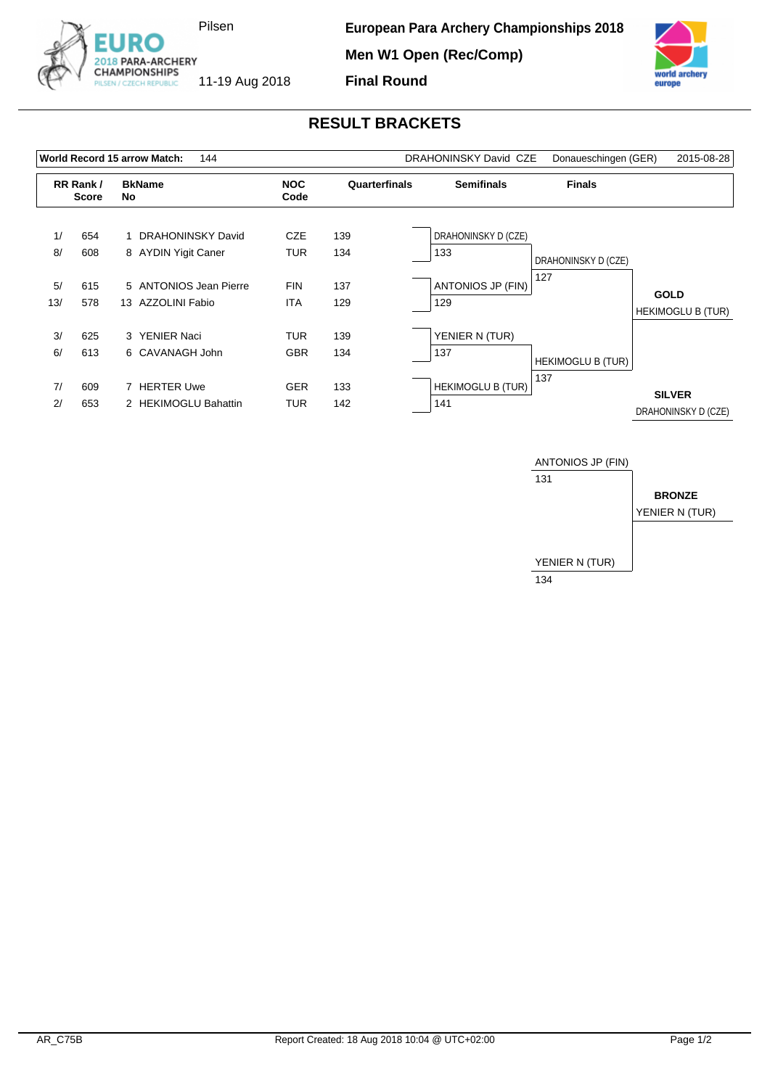



## **RESULT BRACKETS**

|                          |            | World Record 15 arrow Match:<br>144            |                          |               | DRAHONINSKY David CZE           | Donaueschingen (GER)       | 2015-08-28                              |
|--------------------------|------------|------------------------------------------------|--------------------------|---------------|---------------------------------|----------------------------|-----------------------------------------|
| RR Rank/<br><b>Score</b> |            | <b>BkName</b><br>No.                           | <b>NOC</b><br>Code       | Quarterfinals | <b>Semifinals</b>               | <b>Finals</b>              |                                         |
| 1/<br>8/                 | 654<br>608 | DRAHONINSKY David<br>8 AYDIN Yigit Caner       | <b>CZE</b><br><b>TUR</b> | 139<br>134    | DRAHONINSKY D (CZE)<br>133      |                            |                                         |
| 5/<br>13/                | 615<br>578 | 5 ANTONIOS Jean Pierre<br>AZZOLINI Fabio<br>13 | <b>FIN</b><br><b>ITA</b> | 137<br>129    | <b>ANTONIOS JP (FIN)</b><br>129 | DRAHONINSKY D (CZE)<br>127 | <b>GOLD</b><br><b>HEKIMOGLU B (TUR)</b> |
| 3/<br>6/                 | 625<br>613 | 3 YENIER Naci<br>6 CAVANAGH John               | <b>TUR</b><br><b>GBR</b> | 139<br>134    | YENIER N (TUR)<br>137           | <b>HEKIMOGLU B (TUR)</b>   |                                         |
| 7/<br>2/                 | 609<br>653 | 7 HERTER Uwe<br>2 HEKIMOGLU Bahattin           | <b>GER</b><br>TUR        | 133<br>142    | <b>HEKIMOGLU B (TUR)</b><br>141 | 137                        | <b>SILVER</b><br>DRAHONINSKY D (CZE)    |